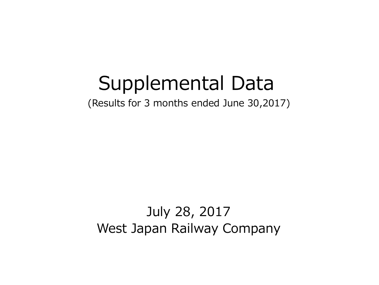# Supplemental Data

(Results for 3 months ended June 30,2017)

July 28, 2017 West Japan Railway Company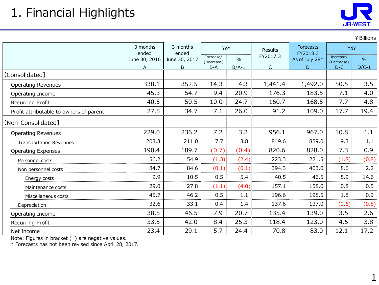|                                         |                   |                   |                         |               |                |                              |                         | ¥ Billions |
|-----------------------------------------|-------------------|-------------------|-------------------------|---------------|----------------|------------------------------|-------------------------|------------|
|                                         | 3 months<br>ended | 3 months<br>ended | YoY                     |               | <b>Results</b> | <b>Forecasts</b><br>FY2018.3 | YoY                     |            |
|                                         | June 30, 2016     | June 30, 2017     | Increase/<br>(Decrease) | $\frac{0}{0}$ | FY2017.3       | As of July 28*               | Increase/<br>(Decrease) | $\%$       |
|                                         | A                 | B                 | $B-A$                   | $B/A-1$       | C              | D                            | $D-C$                   | $D/C-1$    |
| 【Consolidated】                          |                   |                   |                         |               |                |                              |                         |            |
| <b>Operating Revenues</b>               | 338.1             | 352.5             | 14.3                    | 4.3           | 1,441.4        | 1,492.0                      | 50.5                    | 3.5        |
| Operating Income                        | 45.3              | 54.7              | 9.4                     | 20.9          | 176.3          | 183.5                        | 7.1                     | 4.0        |
| Recurring Profit                        | 40.5              | 50.5              | 10.0                    | 24.7          | 160.7          | 168.5                        | 7.7                     | 4.8        |
| Profit attributable to owners of parent | 27.5              | 34.7              | 7.1                     | 26.0          | 91.2           | 109.0                        | 17.7                    | 19.4       |
| [Non-Consolidated]                      |                   |                   |                         |               |                |                              |                         |            |
| <b>Operating Revenues</b>               | 229.0             | 236.2             | 7.2                     | 3.2           | 956.1          | 967.0                        | 10.8                    | 1.1        |
| <b>Transportation Revenues</b>          | 203.3             | 211.0             | 7.7                     | 3.8           | 849.6          | 859.0                        | 9.3                     | 1.1        |
| <b>Operating Expenses</b>               | 190.4             | 189.7             | (0.7)                   | (0.4)         | 820.6          | 828.0                        | 7.3                     | 0.9        |
| Personnel costs                         | 56.2              | 54.9              | (1.3)                   | (2.4)         | 223.3          | 221.5                        | (1.8)                   | (0.8)      |
| Non personnel costs                     | 84.7              | 84.6              | (0.1)                   | (0.1)         | 394.3          | 403.0                        | 8.6                     | 2.2        |
| Energy costs                            | 9.9               | 10.5              | 0.5                     | 5.4           | 40.5           | 46.5                         | 5.9                     | 14.6       |
| Maintenance costs                       | 29.0              | 27.8              | (1.1)                   | (4.0)         | 157.1          | 158.0                        | 0.8                     | 0.5        |
| Miscellaneous costs                     | 45.7              | 46.2              | 0.5                     | 1.1           | 196.6          | 198.5                        | 1.8                     | 0.9        |
| Depreciation                            | 32.6              | 33.1              | 0.4                     | 1.4           | 137.6          | 137.0                        | (0.6)                   | (0.5)      |
| Operating Income                        | 38.5              | 46.5              | 7.9                     | 20.7          | 135.4          | 139.0                        | 3.5                     | 2.6        |
| Recurring Profit                        | 33.5              | 42.0              | 8.4                     | 25.3          | 118.4          | 123.0                        | 4.5                     | 3.8        |
| Net Income                              | 23.4              | 29.1              | 5.7                     | 24.4          | 70.8           | 83.0                         | 12.1                    | 17.2       |

Note: Figures in bracket ( ) are negative values.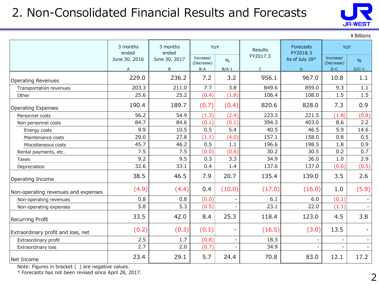## 2. Non-Consolidated Financial Results and Forecasts



¥Billions

|                                     | 3 months<br>ended | 3 months<br>ended | YoY                     |                   | Results      | <b>Forecasts</b><br>FY2018.3 |                         | YoY           |  |
|-------------------------------------|-------------------|-------------------|-------------------------|-------------------|--------------|------------------------------|-------------------------|---------------|--|
|                                     | June 30, 2016     | June 30, 2017     | Increase/<br>(Decrease) | $\frac{0}{0}$     | FY2017.3     | As of July 28*               | Increase/<br>(Decrease) | $\frac{9}{6}$ |  |
|                                     | A                 | B                 | $B-A$                   | $B/A-1$           | $\mathsf{C}$ | D                            | $D-C$                   | $D/C-1$       |  |
| <b>Operating Revenues</b>           | 229.0             | 236.2             | 7.2                     | 3.2               | 956.1        | 967.0                        | 10.8                    | 1.1           |  |
| Transportation revenues             | 203.3             | 211.0             | 7.7                     | 3.8               | 849.6        | 859.0                        | 9.3                     | 1.1           |  |
| Other                               | 25.6              | 25.2              | (0.4)                   | (1.8)             | 106.4        | 108.0                        | 1.5                     | 1.5           |  |
| <b>Operating Expenses</b>           | 190.4             | 189.7             | (0.7)                   | (0.4)             | 820.6        | 828.0                        | 7.3                     | 0.9           |  |
| Personnel costs                     | 56.2              | 54.9              | (1.3)                   | (2.4)             | 223.3        | 221.5                        | (1.8)                   | (0.8)         |  |
| Non personnel costs                 | 84.7              | 84.6              | (0.1)                   | (0.1)             | 394.3        | 403.0                        | 8.6                     | 2.2           |  |
| Energy costs                        | 9.9               | 10.5              | 0.5                     | 5.4               | 40.5         | 46.5                         | 5.9                     | 14.6          |  |
| Maintenance costs                   | 29.0              | 27.8              | (1.1)                   | (4.0)             | 157.1        | 158.0                        | 0.8                     | 0.5           |  |
| Miscellaneous costs                 | 45.7              | 46.2              | 0.5                     | 1.1               | 196.6        | 198.5                        | 1.8                     | 0.9           |  |
| Rental payments, etc.               | 7.5               | 7.5               | (0.0)                   | (0.6)             | 30.2         | 30.5                         | 0.2                     | 0.7           |  |
| Taxes                               | 9.2               | 9.5               | 0.3                     | 3.3               | 34.9         | 36.0                         | 1.0                     | 2.9           |  |
| Depreciation                        | 32.6              | 33.1              | 0.4                     | 1.4               | 137.6        | 137.0                        | (0.6)                   | (0.5)         |  |
| Operating Income                    | 38.5              | 46.5              | 7.9                     | 20.7              | 135.4        | 139.0                        | 3.5                     | 2.6           |  |
| Non-operating revenues and expenses | (4.9)             | (4.4)             | 0.4                     | (10.0)            | (17.0)       | (16.0)                       | 1.0                     | (5.9)         |  |
| Non-operating revenues              | 0.8               | 0.8               | (0.0)                   |                   | 6.1          | 6.0                          | (0.1)                   |               |  |
| Non-operating expenses              | 5.8               | 5.3               | (0.5)                   |                   | 23.1         | 22.0                         | (1.1)                   |               |  |
| <b>Recurring Profit</b>             | 33.5              | 42.0              | 8.4                     | 25.3              | 118.4        | 123.0                        | 4.5                     | 3.8           |  |
| Extraordinary profit and loss, net  | (0.2)             | (0.3)             | (0.1)                   | $\qquad \qquad -$ | (16.5)       | (3.0)                        | 13.5                    |               |  |
| Extraordinary profit                | 2.5               | 1.7               | (0.8)                   |                   | 18.3         |                              |                         |               |  |
| Extraordinary loss                  | 2.7               | 2.0               | (0.7)                   |                   | 34.9         |                              |                         |               |  |
| Net Income                          | 23.4              | 29.1              | 5.7                     | 24.4              | 70.8         | 83.0                         | 12.1                    | 17.2          |  |

Note: Figures in bracket ( ) are negative values.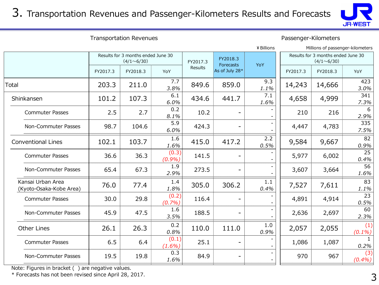#### 3. Transportation Revenues and Passenger-Kilometers Results and Forecasts



Transportation Revenues **Passenger-Kilometers** 

|                                              |          |                                                         |                    |                |                       |             |                                                         | Millions of passenger-kilometers |                  |
|----------------------------------------------|----------|---------------------------------------------------------|--------------------|----------------|-----------------------|-------------|---------------------------------------------------------|----------------------------------|------------------|
|                                              |          | Results for 3 months ended June 30<br>$(4/1 \sim 6/30)$ |                    |                | FY2018.3<br>Forecasts | YoY         | Results for 3 months ended June 30<br>$(4/1 \sim 6/30)$ |                                  |                  |
|                                              | FY2017.3 | FY2018.3                                                | YoY                | <b>Results</b> | As of July 28*        |             | FY2017.3                                                | FY2018.3                         | YoY              |
| Total                                        | 203.3    | 211.0                                                   | 7.7<br>3.8%        | 849.6          | 859.0                 | 9.3<br>1.1% | 14,243                                                  | 14,666                           | 423<br>3.0%      |
| Shinkansen                                   | 101.2    | 107.3                                                   | 6.1<br>6.0%        | 434.6          | 441.7                 | 7.1<br>1.6% | 4,658                                                   | 4,999                            | 341<br>7.3%      |
| <b>Commuter Passes</b>                       | 2.5      | 2.7                                                     | 0.2<br>8.1%        | 10.2           |                       |             | 210                                                     | 216                              | 6<br>2.9%        |
| Non-Commuter Passes                          | 98.7     | 104.6                                                   | 5.9<br>6.0%        | 424.3          |                       |             | 4,447                                                   | 4,783                            | 335<br>7.5%      |
| <b>Conventional Lines</b>                    | 102.1    | 103.7                                                   | 1.6<br>1.6%        | 415.0          | 417.2                 | 2.2<br>0.5% | 9,584                                                   | 9,667                            | 82<br>0.9%       |
| <b>Commuter Passes</b>                       | 36.6     | 36.3                                                    | (0.3)<br>(0.9%)    | 141.5          |                       |             | 5,977                                                   | 6,002                            | 25<br>0.4%       |
| Non-Commuter Passes                          | 65.4     | 67.3                                                    | 1.9<br>2.9%        | 273.5          | -                     |             | 3,607                                                   | 3,664                            | 56<br>1.6%       |
| Kansai Urban Area<br>(Kyoto-Osaka-Kobe Area) | 76.0     | 77.4                                                    | 1.4<br>1.8%        | 305.0          | 306.2                 | 1.1<br>0.4% | 7,527                                                   | 7,611                            | 83<br>1.1%       |
| <b>Commuter Passes</b>                       | 30.0     | 29.8                                                    | (0.2)<br>(0.7%)    | 116.4          |                       |             | 4,891                                                   | 4,914                            | 23<br>0.5%       |
| Non-Commuter Passes                          | 45.9     | 47.5                                                    | 1.6<br>3.5%        | 188.5          |                       |             | 2,636                                                   | 2,697                            | 60<br>2.3%       |
| <b>Other Lines</b>                           | 26.1     | 26.3                                                    | 0.2<br>0.8%        | 110.0          | 111.0                 | 1.0<br>0.9% | 2,057                                                   | 2,055                            | (1)<br>$(0.1\%)$ |
| <b>Commuter Passes</b>                       | 6.5      | 6.4                                                     | (0.1)<br>$(1.6\%)$ | 25.1           |                       |             | 1,086                                                   | 1,087                            | 0.2%             |
| Non-Commuter Passes                          | 19.5     | 19.8                                                    | 0.3<br>1.6%        | 84.9           |                       |             | 970                                                     | 967                              | (3)<br>$(0.4\%)$ |
|                                              |          |                                                         |                    |                |                       |             |                                                         |                                  |                  |

Note: Figures in bracket ( ) are negative values.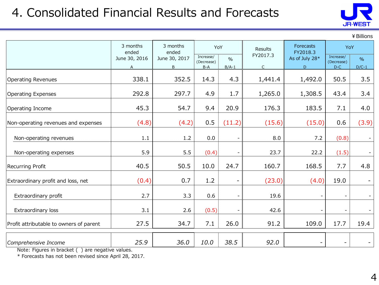## 4. Consolidated Financial Results and Forecasts



¥Billions

|                                         | 3 months<br>ended  | 3 months<br>ended  | YoY                              |                          | Results       | <b>Forecasts</b><br>FY2018.3 |                                                                                                                |                          |
|-----------------------------------------|--------------------|--------------------|----------------------------------|--------------------------|---------------|------------------------------|----------------------------------------------------------------------------------------------------------------|--------------------------|
|                                         | June 30, 2016<br>A | June 30, 2017<br>B | Increase/<br>(Decrease)<br>$B-A$ | $\frac{0}{0}$<br>$B/A-1$ | FY2017.3<br>C | As of July 28*<br>D          | YoY<br>Increase/<br>(Decrease)<br>$D-C$<br>50.5<br>43.4<br>7.1<br>0.6<br>(0.8)<br>(1.5)<br>7.7<br>19.0<br>17.7 | $\frac{9}{6}$<br>$D/C-1$ |
| <b>Operating Revenues</b>               | 338.1              | 352.5              | 14.3                             | 4.3                      | 1,441.4       | 1,492.0                      |                                                                                                                | 3.5                      |
| <b>Operating Expenses</b>               | 292.8              | 297.7              | 4.9                              | 1.7                      | 1,265.0       | 1,308.5                      |                                                                                                                | 3.4                      |
| Operating Income                        | 45.3               | 54.7               | 9.4                              | 20.9                     | 176.3         | 183.5                        |                                                                                                                | 4.0                      |
| Non-operating revenues and expenses     | (4.8)              | (4.2)              | 0.5                              | (11.2)                   | (15.6)        | (15.0)                       |                                                                                                                | (3.9)                    |
| Non-operating revenues                  | 1.1                | 1.2                | 0.0                              |                          | 8.0           | 7.2                          |                                                                                                                |                          |
| Non-operating expenses                  | 5.9                | 5.5                | (0.4)                            |                          | 23.7          | 22.2                         |                                                                                                                |                          |
| <b>Recurring Profit</b>                 | 40.5               | 50.5               | 10.0                             | 24.7                     | 160.7         | 168.5                        |                                                                                                                | 4.8                      |
| Extraordinary profit and loss, net      | (0.4)              | 0.7                | 1.2                              | $\qquad \qquad -$        | (23.0)        | (4.0)                        |                                                                                                                |                          |
| Extraordinary profit                    | 2.7                | 3.3                | 0.6                              |                          | 19.6          |                              |                                                                                                                |                          |
| Extraordinary loss                      | 3.1                | 2.6                | (0.5)                            |                          | 42.6          |                              |                                                                                                                |                          |
| Profit attributable to owners of parent | 27.5               | 34.7               | 7.1                              | 26.0                     | 91.2          | 109.0                        |                                                                                                                | 19.4                     |
| Comprehensive Income                    | 25.9               | 36.0               | 10.0                             | 38.5                     | 92.0          |                              |                                                                                                                |                          |

Note: Figures in bracket ( ) are negative values.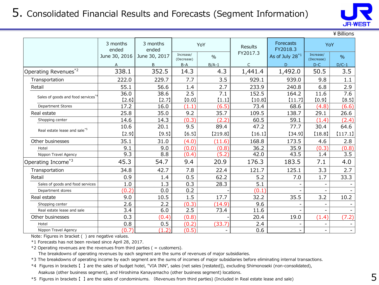

|                                   |                   |                   |                         |               |                  |                          |                          | ¥ Billions               |
|-----------------------------------|-------------------|-------------------|-------------------------|---------------|------------------|--------------------------|--------------------------|--------------------------|
|                                   | 3 months<br>ended | 3 months<br>ended |                         | YoY           | Results          | Forecasts<br>FY2018.3    | YoY                      |                          |
|                                   | June 30, 2016     | June 30, 2017     | Increase/<br>(Decrease) | $\frac{0}{0}$ | FY2017.3         | As of July $28^{*1}$     | Increase/<br>(Decrease)  | $\%$                     |
|                                   | A                 | B                 | $B-A$                   | $B/A-1$       | $\mathsf{C}$     | D                        | $D-C$                    | $D/C-1$                  |
| Operating Revenues <sup>*2</sup>  | 338.1             | 352.5             | 14.3                    | 4.3           | 1,441.4          | 1,492.0                  | 50.5                     | 3.5                      |
| Transportation                    | 222.0             | 229.7             | 7.7                     | 3.5           | 929.1            | 939.0                    | 9.8                      | 1.1                      |
| Retail                            | 55.1              | 56.6              | 1.4                     | 2.7           | 233.9            | 240.8                    | 6.8                      | 2.9                      |
| Sales of goods and food services* | 36.0              | 38.6              | 2.5                     | 7.1           | 152.5            | 164.2                    | 11.6                     | 7.6                      |
|                                   | $[2.6]$           | [2.7]             | [0.0]                   | [1.1]         | [10.8]           | [11.7]                   | [0.9]                    | [8.5]                    |
| Department Stores                 | 17.2              | 16.0              | (1.1)                   | (6.5)         | 73.4             | 68.6                     | (4.8)                    | (6.6)                    |
| Real estate                       | 25.8              | 35.0              | 9.2                     | 35.7          | 109.5            | 138.7                    | 29.1                     | 26.6                     |
| Shopping center                   | 14.6              | 14.3              | (0.3)                   | (2.2)         | 60.5             | 59.1                     | (1.4)                    | (2.4)                    |
|                                   | 10.6              | 20.1              | 9.5                     | 89.4          | 47.2             | 77.7                     | 30.4                     | 64.6                     |
| Real estate lease and sale*5      | $[2.9]$           | [9.5]             | [6.5]                   | [219.8]       | [16.1]           | [34.9]                   | [18.8]                   | [117.1]                  |
| Other businesses                  | 35.1              | 31.0              | (4.0)                   | (11.6)        | 168.8            | 173.5                    | 4.6                      | 2.8                      |
| Hotel                             | 9.1               | 9.0               | (0.0)                   | (0.8)         | 36.2             | 35.9                     | (0.3)                    | (0.8)                    |
| Nippon Travel Agency              | 9.3               | 8.8               | (0.4)                   | (5.2)         | 42.0             | 43.5                     | 1.4                      | 3.5                      |
| Operating Income*3                | 45.3              | 54.7              | 9.4                     | 20.9          | 176.3            | 183.5                    | 7.1                      | 4.0                      |
| Transportation                    | 34.8              | 42.7              | 7.8                     | 22.4          | 121.7            | 125.1                    | 3.3                      | 2.7                      |
| Retail                            | 0.9               | 1.4               | 0.5                     | 62.2          | 5.2              | 7.0                      | 1.7                      | 33.3                     |
| Sales of goods and food services  | 1.0               | 1.3               | 0.3                     | 28.3          | $\overline{5.1}$ |                          | $\overline{\phantom{a}}$ |                          |
| Department stores                 | (0.2)             | 0.0               | 0.2                     |               | (0.1)            |                          |                          |                          |
| Real estate                       | 9.0               | 10.5              | 1.5                     | 17.7          | 32.2             | 35.5                     | 3.2                      | 10.2                     |
| Shopping center                   | 2.6               | 2.2               | (0.3)                   | (14.9)        | 9.6              | $\overline{\phantom{a}}$ | $\overline{\phantom{a}}$ | $\blacksquare$           |
| Real estate lease and sale        | 3.4               | 6.0               | 2.5                     | 73.4          | 11.6             |                          | $\overline{\phantom{0}}$ |                          |
| Other businesses                  | 0.3               | (0.4)             | (0.8)                   |               | 20.4             | 19.0                     | (1.4)                    | (7.2)                    |
| Hotel                             | 0.8               | 0.5               | (0.2)                   | (33.7)        | 2.4              |                          |                          |                          |
| Nippon Travel Agency              | (0.7)             | .2)               | (0.5)                   |               | 0.6              | $\overline{\phantom{a}}$ | $\overline{\phantom{a}}$ | $\overline{\phantom{a}}$ |

Note: Figures in bracket ( ) are negative values.

\*1 Forecasts has not been revised since April 28, 2017.

 $*2$  Operating revenues are the revenues from third parties ( = customers).

The breakdowns of operating revenues by each segment are the sums of revenues of major subsidiaries.

\*3 The breakdowns of operating income by each segment are the sums of incomes of major subsidiaries before eliminating internal transactions.

\*4 Figures in brackets 【 】 are the sales of budget hotel, "VIA INN", sales (net sales [restated]), excluding Shimonoseki (non-consolidated), Asakusa (other business segment), and Hiroshima Kanayamacho (other business segment) locations.

\*5 Figures in brackets 【 】 are the sales of condominiums. (Revenues from third parties) (Included in Real estate lease and sale)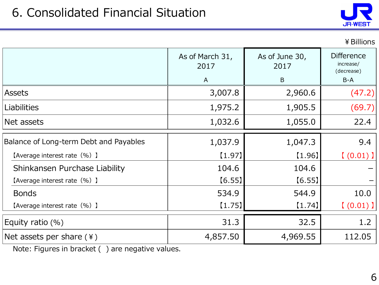

|                                        |                         |                        | ¥ Billions                                   |
|----------------------------------------|-------------------------|------------------------|----------------------------------------------|
|                                        | As of March 31,<br>2017 | As of June 30,<br>2017 | <b>Difference</b><br>increase/<br>(decrease) |
|                                        | $\mathsf{A}$            | B                      | $B-A$                                        |
| <b>Assets</b>                          | 3,007.8                 | 2,960.6                | (47.2)                                       |
| <b>Liabilities</b>                     | 1,975.2                 | 1,905.5                | (69.7)                                       |
| Net assets                             | 1,032.6                 | 1,055.0                | 22.4                                         |
| Balance of Long-term Debt and Payables | 1,037.9                 | 1,047.3                | 9.4                                          |
| [Average interest rate (%) ]           | [1.97]                  | (1.96)                 | $(0.01)$ ]                                   |
| Shinkansen Purchase Liability          | 104.6                   | 104.6                  |                                              |
| [Average interest rate (%) ]           | [6.55]                  | [6.55]                 |                                              |
| <b>Bonds</b>                           | 534.9                   | 544.9                  | 10.0                                         |
| [Average interest rate (%) ]           | [1.75]                  | [1.74]                 | $(0.01)$ ]                                   |
| Equity ratio $(\%)$                    | 31.3                    | 32.5                   | 1.2                                          |
| Net assets per share $(*)$             | 4,857.50                | 4,969.55               | 112.05                                       |

Note: Figures in bracket ( ) are negative values.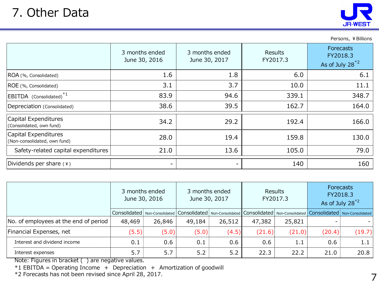| 7 : VUIU DUU                                         |                                 |                                 |                            | <b>JR-WEST</b>                                              |
|------------------------------------------------------|---------------------------------|---------------------------------|----------------------------|-------------------------------------------------------------|
|                                                      |                                 |                                 |                            | Persons, ¥ Billions                                         |
|                                                      | 3 months ended<br>June 30, 2016 | 3 months ended<br>June 30, 2017 | <b>Results</b><br>FY2017.3 | <b>Forecasts</b><br>FY2018.3<br>As of July 28 <sup>*2</sup> |
| ROA (%, Consolidated)                                | 1.6                             | 1.8                             | 6.0                        | 6.1                                                         |
| ROE (%, Consolidated)                                | 3.1                             | 3.7                             | 10.0                       | 11.1                                                        |
| EBITDA (Consolidated) <sup>*1</sup>                  | 83.9                            | 94.6                            | 339.1                      | 348.7                                                       |
| Depreciation (Consolidated)                          | 38.6                            | 39.5                            | 162.7                      | 164.0                                                       |
| Capital Expenditures<br>(Consolidated, own fund)     | 34.2                            | 29.2                            | 192.4                      | 166.0                                                       |
| Capital Expenditures<br>(Non-consolidated, own fund) | 28.0                            | 19.4                            | 159.8                      | 130.0                                                       |
| Safety-related capital expenditures                  | 21.0                            | 13.6                            | 105.0                      | 79.0                                                        |
| Dividends per share $(*)$                            | -                               |                                 | 140                        | 160                                                         |

|                                       | 3 months ended<br>June 30, 2016 |        |        | 3 months ended<br>June 30, 2017                                                                                                       |        | Results<br>FY2017.3 | <b>Forecasts</b><br>FY2018.3<br>As of July $28^{2}$ |        |
|---------------------------------------|---------------------------------|--------|--------|---------------------------------------------------------------------------------------------------------------------------------------|--------|---------------------|-----------------------------------------------------|--------|
|                                       |                                 |        |        | Consolidated   Non-Consolidated   Consolidated   Non-Consolidated   Consolidated   Non-Consolidated   Consolidated   Non-Consolidated |        |                     |                                                     |        |
| No. of employees at the end of period | 48,469                          | 26,846 | 49,184 | 26,512                                                                                                                                | 47,382 | 25,821              |                                                     |        |
| Financial Expenses, net               | (5.5)                           | (5.0)  | (5.0)  | (4.5)                                                                                                                                 | (21.6) | (21.0)              | (20.4)                                              | (19.7) |
| Interest and dividend income          | 0.1                             | 0.6    | 0.1    | 0.6                                                                                                                                   | 0.6    | 1.1                 | 0.6                                                 | 1.1    |
| Interest expenses                     | 5.7                             | 5.7    | 5.2    | 5.2                                                                                                                                   | 22.3   | 22.2                | 21.0                                                | 20.8   |

Note: Figures in bracket ( ) are negative values.

 $*1$  EBITDA = Operating Income + Depreciation + Amortization of goodwill